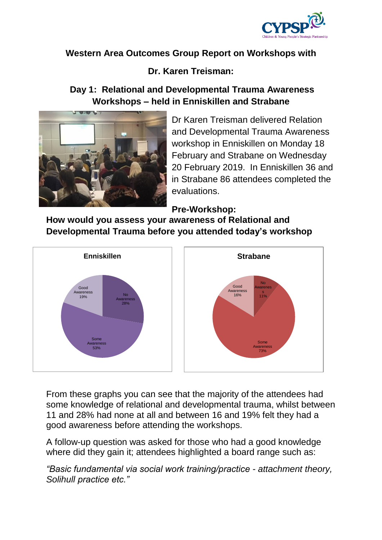

# **Western Area Outcomes Group Report on Workshops with**

# **Dr. Karen Treisman:**

# **Day 1: Relational and Developmental Trauma Awareness Workshops – held in Enniskillen and Strabane**



Dr Karen Treisman delivered Relation and Developmental Trauma Awareness workshop in Enniskillen on Monday 18 February and Strabane on Wednesday 20 February 2019. In Enniskillen 36 and in Strabane 86 attendees completed the evaluations.

**Pre-Workshop:**

**How would you assess your awareness of Relational and Developmental Trauma before you attended today's workshop**



From these graphs you can see that the majority of the attendees had some knowledge of relational and developmental trauma, whilst between 11 and 28% had none at all and between 16 and 19% felt they had a good awareness before attending the workshops.

A follow-up question was asked for those who had a good knowledge where did they gain it; attendees highlighted a board range such as:

*"Basic fundamental via social work training/practice - attachment theory, Solihull practice etc."*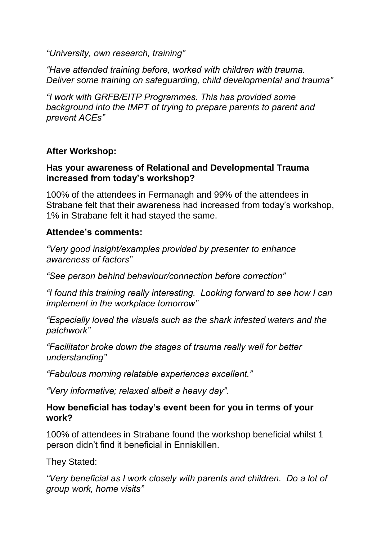*"University, own research, training"*

*"Have attended training before, worked with children with trauma. Deliver some training on safeguarding, child developmental and trauma"*

*"I work with GRFB/EITP Programmes. This has provided some background into the IMPT of trying to prepare parents to parent and prevent ACEs"*

### **After Workshop:**

### **Has your awareness of Relational and Developmental Trauma increased from today's workshop?**

100% of the attendees in Fermanagh and 99% of the attendees in Strabane felt that their awareness had increased from today's workshop, 1% in Strabane felt it had stayed the same.

### **Attendee's comments:**

*"Very good insight/examples provided by presenter to enhance awareness of factors"*

*"See person behind behaviour/connection before correction"*

*"I found this training really interesting. Looking forward to see how I can implement in the workplace tomorrow"*

*"Especially loved the visuals such as the shark infested waters and the patchwork"*

*"Facilitator broke down the stages of trauma really well for better understanding"*

*"Fabulous morning relatable experiences excellent."*

*"Very informative; relaxed albeit a heavy day".*

### **How beneficial has today's event been for you in terms of your work?**

100% of attendees in Strabane found the workshop beneficial whilst 1 person didn't find it beneficial in Enniskillen.

They Stated:

*"Very beneficial as I work closely with parents and children. Do a lot of group work, home visits"*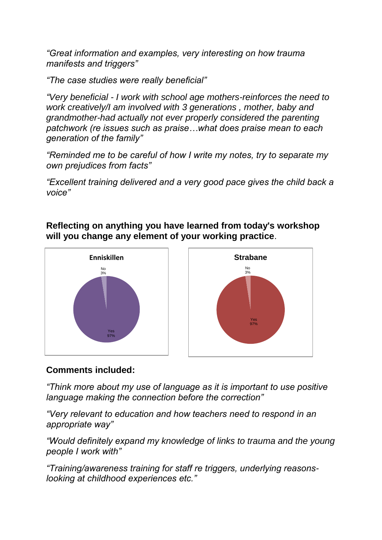*"Great information and examples, very interesting on how trauma manifests and triggers"*

*"The case studies were really beneficial"*

*"Very beneficial - I work with school age mothers-reinforces the need to work creatively/I am involved with 3 generations , mother, baby and grandmother-had actually not ever properly considered the parenting patchwork (re issues such as praise…what does praise mean to each generation of the family"*

*"Reminded me to be careful of how I write my notes, try to separate my own prejudices from facts"*

*"Excellent training delivered and a very good pace gives the child back a voice"*

**Reflecting on anything you have learned from today's workshop will you change any element of your working practice**.



## **Comments included:**

*"Think more about my use of language as it is important to use positive language making the connection before the correction"*

*"Very relevant to education and how teachers need to respond in an appropriate way"*

*"Would definitely expand my knowledge of links to trauma and the young people I work with"*

*"Training/awareness training for staff re triggers, underlying reasonslooking at childhood experiences etc."*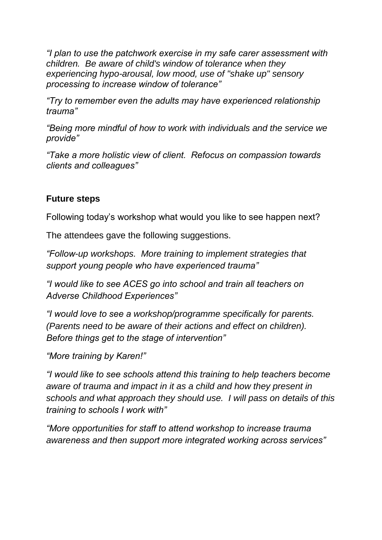*"I plan to use the patchwork exercise in my safe carer assessment with children. Be aware of child's window of tolerance when they experiencing hypo-arousal, low mood, use of "shake up" sensory processing to increase window of tolerance"*

*"Try to remember even the adults may have experienced relationship trauma"*

*"Being more mindful of how to work with individuals and the service we provide"*

*"Take a more holistic view of client. Refocus on compassion towards clients and colleagues"*

## **Future steps**

Following today's workshop what would you like to see happen next?

The attendees gave the following suggestions.

*"Follow-up workshops. More training to implement strategies that support young people who have experienced trauma"*

*"I would like to see ACES go into school and train all teachers on Adverse Childhood Experiences"*

*"I would love to see a workshop/programme specifically for parents. (Parents need to be aware of their actions and effect on children). Before things get to the stage of intervention"*

*"More training by Karen!"*

*"I would like to see schools attend this training to help teachers become aware of trauma and impact in it as a child and how they present in schools and what approach they should use. I will pass on details of this training to schools I work with"*

*"More opportunities for staff to attend workshop to increase trauma awareness and then support more integrated working across services"*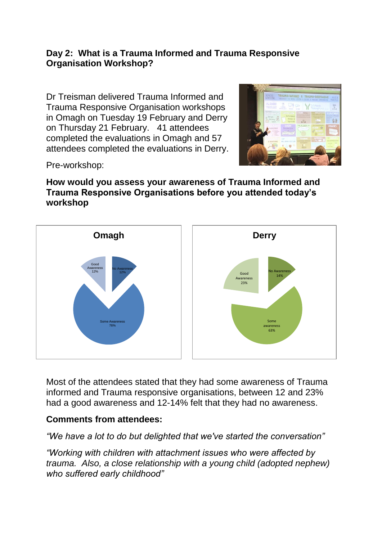### **Day 2: What is a Trauma Informed and Trauma Responsive Organisation Workshop?**

Dr Treisman delivered Trauma Informed and Trauma Responsive Organisation workshops in Omagh on Tuesday 19 February and Derry on Thursday 21 February. 41 attendees completed the evaluations in Omagh and 57 attendees completed the evaluations in Derry.



Pre-workshop:

### **How would you assess your awareness of Trauma Informed and Trauma Responsive Organisations before you attended today's workshop**



Most of the attendees stated that they had some awareness of Trauma informed and Trauma responsive organisations, between 12 and 23% had a good awareness and 12-14% felt that they had no awareness.

### **Comments from attendees:**

*"We have a lot to do but delighted that we've started the conversation"*

*"Working with children with attachment issues who were affected by trauma. Also, a close relationship with a young child (adopted nephew) who suffered early childhood"*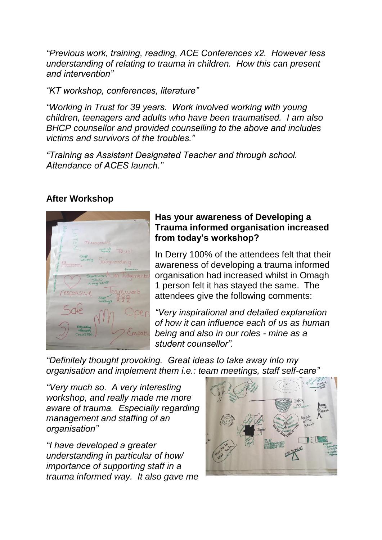*"Previous work, training, reading, ACE Conferences x2. However less understanding of relating to trauma in children. How this can present and intervention"*

*"KT workshop, conferences, literature"*

*"Working in Trust for 39 years. Work involved working with young children, teenagers and adults who have been traumatised. I am also BHCP counsellor and provided counselling to the above and includes victims and survivors of the troubles."*

*"Training as Assistant Designated Teacher and through school. Attendance of ACES launch."*

### **After Workshop**



#### **Has your awareness of Developing a Trauma informed organisation increased from today's workshop?**

In Derry 100% of the attendees felt that their awareness of developing a trauma informed organisation had increased whilst in Omagh 1 person felt it has stayed the same. The attendees give the following comments:

*"Very inspirational and detailed explanation of how it can influence each of us as human being and also in our roles - mine as a student counsellor".*

*"Definitely thought provoking. Great ideas to take away into my organisation and implement them i.e.: team meetings, staff self-care"* 

*"Very much so. A very interesting workshop, and really made me more aware of trauma. Especially regarding management and staffing of an organisation"*

*"I have developed a greater understanding in particular of how/ importance of supporting staff in a trauma informed way. It also gave me* 

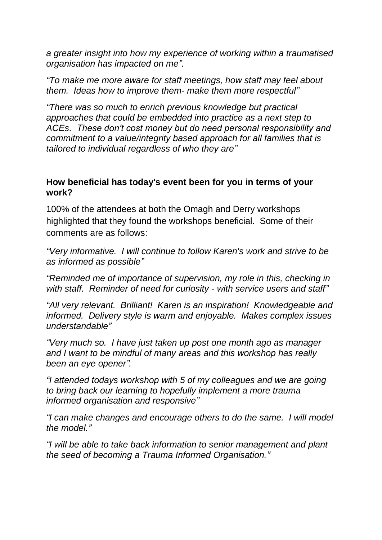*a greater insight into how my experience of working within a traumatised organisation has impacted on me".*

*"To make me more aware for staff meetings, how staff may feel about them. Ideas how to improve them- make them more respectful"*

*"There was so much to enrich previous knowledge but practical approaches that could be embedded into practice as a next step to ACEs. These don't cost money but do need personal responsibility and commitment to a value/integrity based approach for all families that is tailored to individual regardless of who they are"*

### **How beneficial has today's event been for you in terms of your work?**

100% of the attendees at both the Omagh and Derry workshops highlighted that they found the workshops beneficial. Some of their comments are as follows:

*"Very informative. I will continue to follow Karen's work and strive to be as informed as possible"*

*"Reminded me of importance of supervision, my role in this, checking in with staff. Reminder of need for curiosity - with service users and staff"*

*"All very relevant. Brilliant! Karen is an inspiration! Knowledgeable and informed. Delivery style is warm and enjoyable. Makes complex issues understandable"*

*"Very much so. I have just taken up post one month ago as manager and I want to be mindful of many areas and this workshop has really been an eye opener".*

*"I attended todays workshop with 5 of my colleagues and we are going to bring back our learning to hopefully implement a more trauma informed organisation and responsive"*

*"I can make changes and encourage others to do the same. I will model the model."*

*"I will be able to take back information to senior management and plant the seed of becoming a Trauma Informed Organisation."*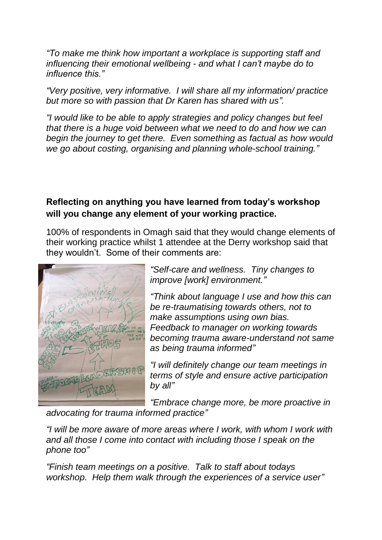*"To make me think how important a workplace is supporting staff and influencing their emotional wellbeing - and what I can't maybe do to influence this."*

*"Very positive, very informative. I will share all my information/ practice but more so with passion that Dr Karen has shared with us".* 

*"I would like to be able to apply strategies and policy changes but feel that there is a huge void between what we need to do and how we can begin the journey to get there. Even something as factual as how would we go about costing, organising and planning whole-school training."*

## **Reflecting on anything you have learned from today's workshop will you change any element of your working practice.**

100% of respondents in Omagh said that they would change elements of their working practice whilst 1 attendee at the Derry workshop said that they wouldn't. Some of their comments are:



*"Self-care and wellness. Tiny changes to improve [work] environment."*

*"Think about language I use and how this can be re-traumatising towards others, not to make assumptions using own bias. Feedback to manager on working towards becoming trauma aware-understand not same as being trauma informed"*

*"I will definitely change our team meetings in terms of style and ensure active participation by all"*

*"Embrace change more, be more proactive in advocating for trauma informed practice"*

*"I will be more aware of more areas where I work, with whom I work with and all those I come into contact with including those I speak on the phone too"*

*"Finish team meetings on a positive. Talk to staff about todays workshop. Help them walk through the experiences of a service user"*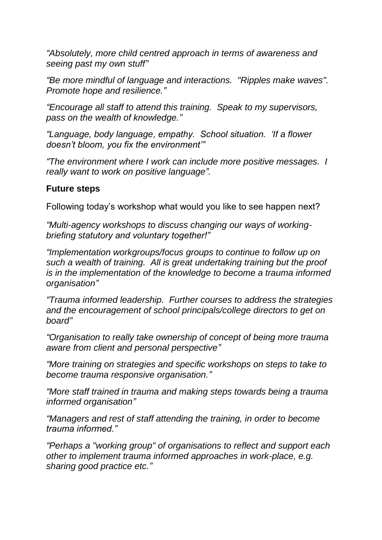*"Absolutely, more child centred approach in terms of awareness and seeing past my own stuff"*

*"Be more mindful of language and interactions. "Ripples make waves". Promote hope and resilience."* 

*"Encourage all staff to attend this training. Speak to my supervisors, pass on the wealth of knowledge."*

*"Language, body language, empathy. School situation. 'If a flower doesn't bloom, you fix the environment'"*

*"The environment where I work can include more positive messages. I really want to work on positive language".*

### **Future steps**

Following today's workshop what would you like to see happen next?

*"Multi-agency workshops to discuss changing our ways of workingbriefing statutory and voluntary together!"*

*"Implementation workgroups/focus groups to continue to follow up on such a wealth of training. All is great undertaking training but the proof is in the implementation of the knowledge to become a trauma informed organisation"*

*"Trauma informed leadership. Further courses to address the strategies and the encouragement of school principals/college directors to get on board"*

*"Organisation to really take ownership of concept of being more trauma aware from client and personal perspective"*

*"More training on strategies and specific workshops on steps to take to become trauma responsive organisation."*

*"More staff trained in trauma and making steps towards being a trauma informed organisation"*

*"Managers and rest of staff attending the training, in order to become trauma informed."*

*"Perhaps a "working group" of organisations to reflect and support each other to implement trauma informed approaches in work-place, e.g. sharing good practice etc."*